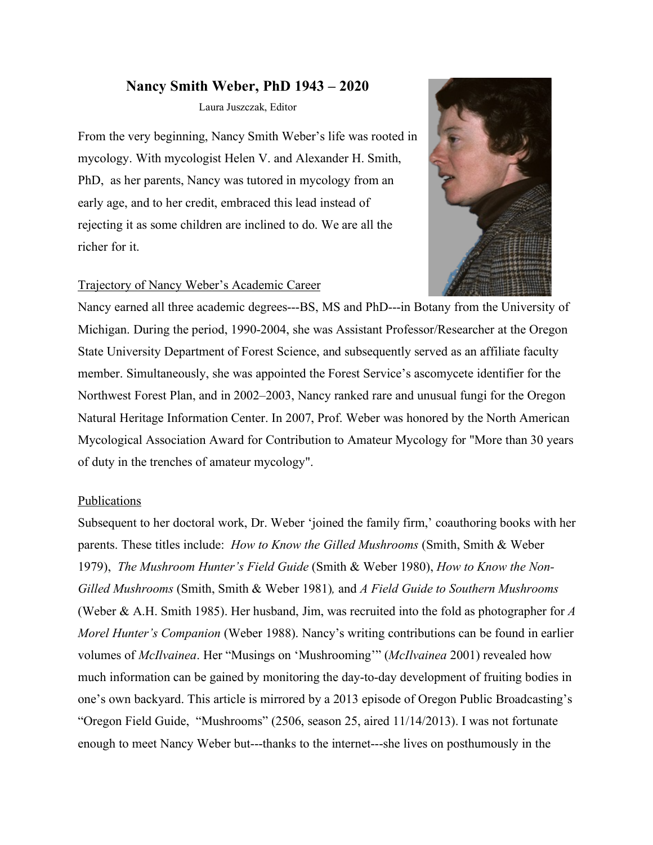## **Nancy Smith Weber, PhD 1943 – 2020**

Laura Juszczak, Editor

From the very beginning, Nancy Smith Weber's life was rooted in mycology. With mycologist Helen V. and Alexander H. Smith, PhD, as her parents, Nancy was tutored in mycology from an early age, and to her credit, embraced this lead instead of rejecting it as some children are inclined to do. We are all the richer for it.

## Trajectory of Nancy Weber's Academic Career



Nancy earned all three academic degrees---BS, MS and PhD---in Botany from the University of Michigan. During the period, 1990-2004, she was Assistant Professor/Researcher at the Oregon State University Department of Forest Science, and subsequently served as an affiliate faculty member. Simultaneously, she was appointed the Forest Service's ascomycete identifier for the Northwest Forest Plan, and in 2002–2003, Nancy ranked rare and unusual fungi for the Oregon Natural Heritage Information Center. In 2007, Prof. Weber was honored by the North American Mycological Association Award for Contribution to Amateur Mycology for "More than 30 years of duty in the trenches of amateur mycology".

## Publications

Subsequent to her doctoral work, Dr. Weber 'joined the family firm,' coauthoring books with her parents. These titles include: *How to Know the Gilled Mushrooms* (Smith, Smith & Weber 1979), *The Mushroom Hunter's Field Guide* (Smith & Weber 1980), *How to Know the Non-Gilled Mushrooms* (Smith, Smith & Weber 1981)*,* and *A Field Guide to Southern Mushrooms*  (Weber & A.H. Smith 1985). Her husband, Jim, was recruited into the fold as photographer for *A Morel Hunter's Companion* (Weber 1988). Nancy's writing contributions can be found in earlier volumes of *McIlvainea*. Her "Musings on 'Mushrooming'" (*McIlvainea* 2001) revealed how much information can be gained by monitoring the day-to-day development of fruiting bodies in one's own backyard. This article is mirrored by a 2013 episode of Oregon Public Broadcasting's "Oregon Field Guide, "Mushrooms" (2506, season 25, aired 11/14/2013). I was not fortunate enough to meet Nancy Weber but---thanks to the internet---she lives on posthumously in the